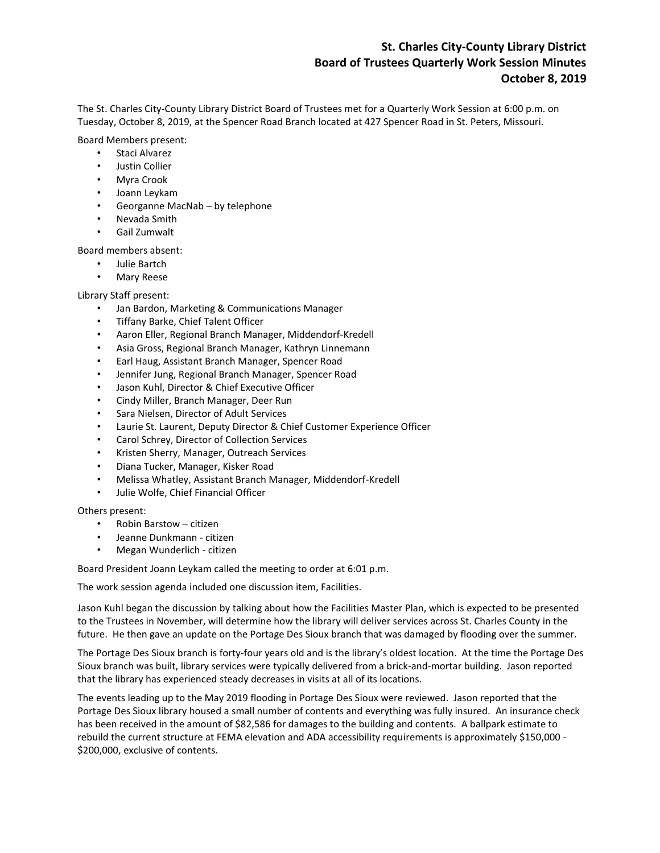## **St. Charles City-County Library District Board of Trustees Quarterly Work Session Minutes October 8, 2019**

The St. Charles City-County Library District Board of Trustees met for a Quarterly Work Session at 6:00 p.m. on Tuesday, October 8, 2019, at the Spencer Road Branch located at 427 Spencer Road in St. Peters, Missouri.

Board Members present:

- Staci Alvarez
- Justin Collier
- Myra Crook
- Joann Leykam
- Georganne MacNab by telephone
- Nevada Smith
- Gail Zumwalt

Board members absent:

- Julie Bartch
- Mary Reese

Library Staff present:

- Jan Bardon, Marketing & Communications Manager
- Tiffany Barke, Chief Talent Officer
- Aaron Eller, Regional Branch Manager, Middendorf-Kredell
- Asia Gross, Regional Branch Manager, Kathryn Linnemann
- Earl Haug, Assistant Branch Manager, Spencer Road
- Jennifer Jung, Regional Branch Manager, Spencer Road
- Jason Kuhl, Director & Chief Executive Officer
- Cindy Miller, Branch Manager, Deer Run
- Sara Nielsen, Director of Adult Services
- Laurie St. Laurent, Deputy Director & Chief Customer Experience Officer
- Carol Schrey, Director of Collection Services
- Kristen Sherry, Manager, Outreach Services
- Diana Tucker, Manager, Kisker Road
- Melissa Whatley, Assistant Branch Manager, Middendorf-Kredell
- Julie Wolfe, Chief Financial Officer

Others present:

- Robin Barstow citizen
- Jeanne Dunkmann citizen
- Megan Wunderlich citizen

Board President Joann Leykam called the meeting to order at 6:01 p.m.

The work session agenda included one discussion item, Facilities.

Jason Kuhl began the discussion by talking about how the Facilities Master Plan, which is expected to be presented to the Trustees in November, will determine how the library will deliver services across St. Charles County in the future. He then gave an update on the Portage Des Sioux branch that was damaged by flooding over the summer.

The Portage Des Sioux branch is forty-four years old and is the library's oldest location. At the time the Portage Des Sioux branch was built, library services were typically delivered from a brick-and-mortar building. Jason reported that the library has experienced steady decreases in visits at all of its locations.

The events leading up to the May 2019 flooding in Portage Des Sioux were reviewed. Jason reported that the Portage Des Sioux library housed a small number of contents and everything was fully insured. An insurance check has been received in the amount of \$82,586 for damages to the building and contents. A ballpark estimate to rebuild the current structure at FEMA elevation and ADA accessibility requirements is approximately \$150,000 - \$200,000, exclusive of contents.